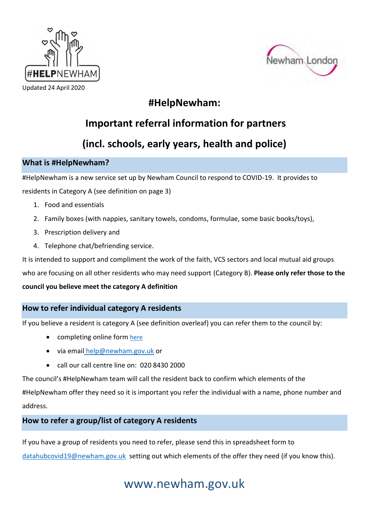



Updated 24 April 2020

## **#HelpNewham:**

# **Important referral information for partners**

# **(incl. schools, early years, health and police)**

### **What is #HelpNewham?**

#HelpNewham is a new service set up by Newham Council to respond to COVID-19. It provides to residents in Category A (see definition on page 3)

- 1. Food and essentials
- 2. Family boxes (with nappies, sanitary towels, condoms, formulae, some basic books/toys),
- 3. Prescription delivery and
- 4. Telephone chat/befriending service.

It is intended to support and compliment the work of the faith, VCS sectors and local mutual aid groups

who are focusing on all other residents who may need support (Category B). **Please only refer those to the** 

#### **council you believe meet the category A definition**

#### **How to refer individual category A residents**

If you believe a resident is category A (see definition overleaf) you can refer them to the council by:

- completing online form [here](https://www.newham.gov.uk/coronavirus-covid-19/covid-19-support-vulnerable-high-risk-people/1)
- via email [help@newham.gov.uk](mailto:help@newham.gov.uk) or
- call our call centre line on: 020 8430 2000

The council's #HelpNewham team will call the resident back to confirm which elements of the #HelpNewham offer they need so it is important you refer the individual with a name, phone number and address.

## **How to refer a group/list of category A residents**

If you have a group of residents you need to refer, please send this in spreadsheet form to

[datahubcovid19@newham.gov.uk](mailto:datahubcovid19@newham.gov.uk) setting out which elements of the offer they need (if you know this).

# www.newham.gov.uk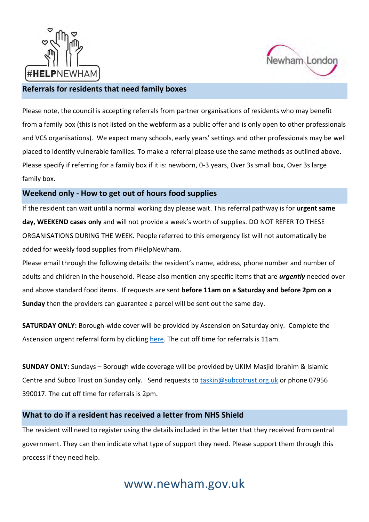



#### **Referrals for residents that need family boxes**

Please note, the council is accepting referrals from partner organisations of residents who may benefit from a family box (this is not listed on the webform as a public offer and is only open to other professionals and VCS organisations). We expect many schools, early years' settings and other professionals may be well placed to identify vulnerable families. To make a referral please use the same methods as outlined above. Please specify if referring for a family box if it is: newborn, 0-3 years, Over 3s small box, Over 3s large family box.

#### **Weekend only - How to get out of hours food supplies**

If the resident can wait until a normal working day please wait. This referral pathway is for **urgent same day, WEEKEND cases only** and will not provide a week's worth of supplies. DO NOT REFER TO THESE ORGANISATIONS DURING THE WEEK. People referred to this emergency list will not automatically be added for weekly food supplies from #HelpNewham.

Please email through the following details: the resident's name, address, phone number and number of adults and children in the household. Please also mention any specific items that are *urgently* needed over and above standard food items. If requests are sent **before 11am on a Saturday and before 2pm on a Sunday** then the providers can guarantee a parcel will be sent out the same day.

**SATURDAY ONLY:** Borough-wide cover will be provided by Ascension on Saturday only. Complete the Ascension urgent referral form by clicking [here.](https://docs.google.com/forms/d/e/1FAIpQLScWm0IttzkawLfBngu8_tjodJiYl8cvEn-MfzBwMPE9DXP-3Q/viewform?usp=sf_link) The cut off time for referrals is 11am.

**SUNDAY ONLY:** Sundays – Borough wide coverage will be provided by UKIM Masjid Ibrahim & Islamic Centre and Subco Trust on Sunday only. Send requests to [taskin@subcotrust.org.uk](mailto:taskin@subcotrust.org.uk) or phone 07956 390017. The cut off time for referrals is 2pm.

#### **What to do if a resident has received a letter from NHS Shield**

The resident will need to register using the details included in the letter that they received from central government. They can then indicate what type of support they need. Please support them through this process if they need help.

# www.newham.gov.uk